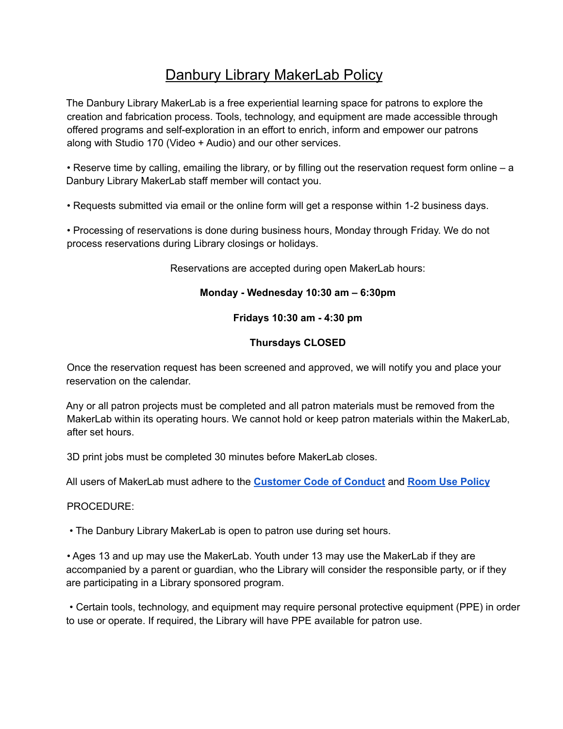# Danbury Library MakerLab Policy

The Danbury Library MakerLab is a free experiential learning space for patrons to explore the creation and fabrication process. Tools, technology, and equipment are made accessible through offered programs and self-exploration in an effort to enrich, inform and empower our patrons along with Studio 170 (Video + Audio) and our other services.

• Reserve time by calling, emailing the library, or by filling out the reservation request form online – a Danbury Library MakerLab staff member will contact you.

• Requests submitted via email or the online form will get a response within 1-2 business days.

• Processing of reservations is done during business hours, Monday through Friday. We do not process reservations during Library closings or holidays.

Reservations are accepted during open MakerLab hours:

### **Monday - Wednesday 10:30 am – 6:30pm**

**Fridays 10:30 am - 4:30 pm**

## **Thursdays CLOSED**

Once the reservation request has been screened and approved, we will notify you and place your reservation on the calendar.

Any or all patron projects must be completed and all patron materials must be removed from the MakerLab within its operating hours. We cannot hold or keep patron materials within the MakerLab, after set hours.

3D print jobs must be completed 30 minutes before MakerLab closes.

All users of MakerLab must adhere to the **[Customer](https://danburylibrary.org/wp-content/uploads/2021/06/customer_code_of_conduct_21.pdf) Code of Conduct** and **Room Use [Policy](https://danburylibrary.org/img/roomusepolicy.pdf)**

#### PROCEDURE:

• The Danbury Library MakerLab is open to patron use during set hours.

• Ages 13 and up may use the MakerLab. Youth under 13 may use the MakerLab if they are accompanied by a parent or guardian, who the Library will consider the responsible party, or if they are participating in a Library sponsored program.

• Certain tools, technology, and equipment may require personal protective equipment (PPE) in order to use or operate. If required, the Library will have PPE available for patron use.